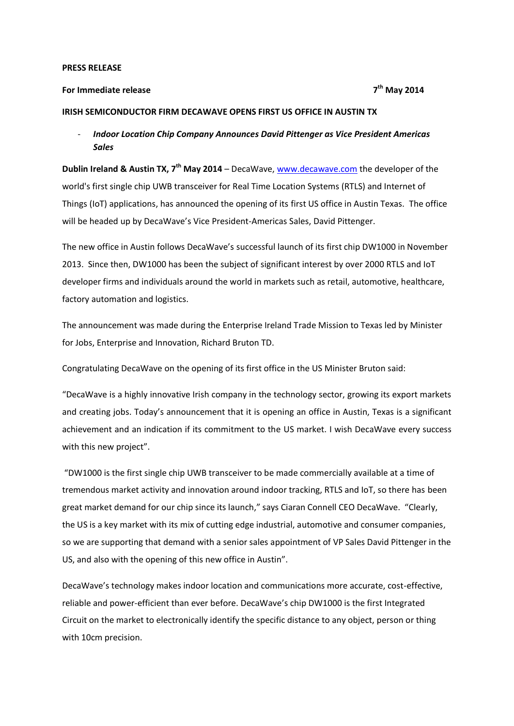#### **PRESS RELEASE**

#### **For Immediate release 7**

## **th May 2014**

### **IRISH SEMICONDUCTOR FIRM DECAWAVE OPENS FIRST US OFFICE IN AUSTIN TX**

# - *Indoor Location Chip Company Announces David Pittenger as Vice President Americas Sales*

**Dublin Ireland & Austin TX, 7<sup>th</sup> May 2014** – DecaWave, [www.decawave.com](http://www.decawave.com/) the developer of the world's first single chip UWB transceiver for Real Time Location Systems (RTLS) and Internet of Things (IoT) applications, has announced the opening of its first US office in Austin Texas. The office will be headed up by DecaWave's Vice President-Americas Sales, David Pittenger.

The new office in Austin follows DecaWave's successful launch of its first chip DW1000 in November 2013. Since then, DW1000 has been the subject of significant interest by over 2000 RTLS and IoT developer firms and individuals around the world in markets such as retail, automotive, healthcare, factory automation and logistics.

The announcement was made during the Enterprise Ireland Trade Mission to Texas led by Minister for Jobs, Enterprise and Innovation, Richard Bruton TD.

Congratulating DecaWave on the opening of its first office in the US Minister Bruton said:

"DecaWave is a highly innovative Irish company in the technology sector, growing its export markets and creating jobs. Today's announcement that it is opening an office in Austin, Texas is a significant achievement and an indication if its commitment to the US market. I wish DecaWave every success with this new project".

"DW1000 is the first single chip UWB transceiver to be made commercially available at a time of tremendous market activity and innovation around indoor tracking, RTLS and IoT, so there has been great market demand for our chip since its launch," says Ciaran Connell CEO DecaWave. "Clearly, the US is a key market with its mix of cutting edge industrial, automotive and consumer companies, so we are supporting that demand with a senior sales appointment of VP Sales David Pittenger in the US, and also with the opening of this new office in Austin".

DecaWave's technology makes indoor location and communications more accurate, cost-effective, reliable and power-efficient than ever before. DecaWave's chip DW1000 is the first Integrated Circuit on the market to electronically identify the specific distance to any object, person or thing with 10cm precision.